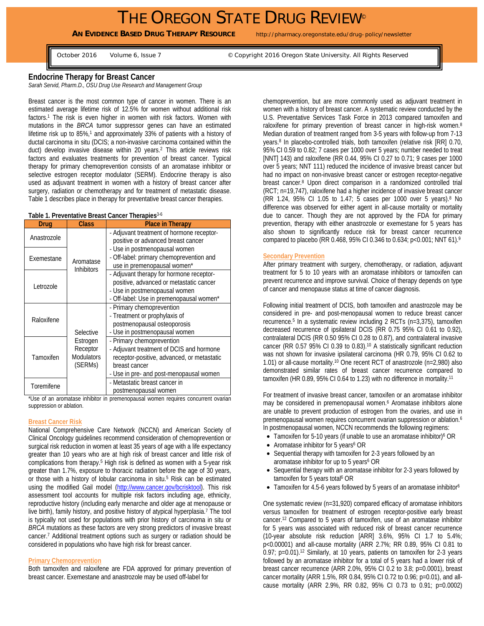**AN EVIDENCE BASED DRUG THERAPY RESOURCE** http://pharmacy.oregonstate.edu/drug-policy/newsletter

October 2016 Volume 6, Issue 7 © Copyright 2016 Oregon State University. All Rights Reserved

**Endocrine Therapy for Breast Cancer** 

*Sarah Servid, Pharm.D., OSU Drug Use Research and Management Group* 

Breast cancer is the most common type of cancer in women. There is an estimated average lifetime risk of 12.5% for women without additional risk factors.<sup>1</sup> The risk is even higher in women with risk factors. Women with mutations in the *BRCA* tumor suppressor genes can have an estimated lifetime risk up to 85%,<sup>1</sup> and approximately 33% of patients with a history of ductal carcinoma in situ (DCIS; a non-invasive carcinoma contained within the duct) develop invasive disease within 20 years.2 This article reviews risk factors and evaluates treatments for prevention of breast cancer. Typical therapy for primary chemoprevention consists of an aromatase inhibitor or selective estrogen receptor modulator (SERM). Endocrine therapy is also used as adjuvant treatment in women with a history of breast cancer after surgery, radiation or chemotherapy and for treatment of metastatic disease. Table 1 describes place in therapy for preventative breast cancer therapies.

#### **Table 1. Preventative Breast Cancer Therapies**3-6

| Drua        | <b>Class</b>                                                      | <b>Place in Therapy</b>                                                                                                                                                         |
|-------------|-------------------------------------------------------------------|---------------------------------------------------------------------------------------------------------------------------------------------------------------------------------|
| Anastrozole | Aromatase<br><b>Inhibitors</b>                                    | - Adjuvant treatment of hormone receptor-<br>positive or advanced breast cancer                                                                                                 |
| Exemestane  |                                                                   | - Use in postmenopausal women<br>- Off-label: primary chemoprevention and<br>use in premenopausal women*                                                                        |
| Letrozole   |                                                                   | - Adjuvant therapy for hormone receptor-<br>positive, advanced or metastatic cancer<br>- Use in postmenopausal women<br>- Off-label: Use in premenopausal women*                |
| Raloxifene  | Selective<br>Estrogen<br>Receptor<br><b>Modulators</b><br>(SERMs) | - Primary chemoprevention<br>- Treatment or prophylaxis of<br>postmenopausal osteoporosis<br>- Use in postmenopausal women                                                      |
| Tamoxifen   |                                                                   | - Primary chemoprevention<br>- Adjuvant treatment of DCIS and hormone<br>receptor-positive, advanced, or metastatic<br>breast cancer<br>- Use in pre- and post-menopausal women |
| Toremifene  |                                                                   | - Metastatic breast cancer in<br>postmenopausal women                                                                                                                           |

\*Use of an aromatase inhibitor in premenopausal women requires concurrent ovarian suppression or ablation.

# **Breast Cancer Risk**

National Comprehensive Care Network (NCCN) and American Society of Clinical Oncology guidelines recommend consideration of chemoprevention or surgical risk reduction in women at least 35 years of age with a life expectancy greater than 10 years who are at high risk of breast cancer and little risk of complications from therapy.5 High risk is defined as women with a 5-year risk greater than 1.7%, exposure to thoracic radiation before the age of 30 years, or those with a history of lobular carcinoma in situ.<sup>5</sup> Risk can be estimated using the modified Gail model (http://www.cancer.gov/bcrisktool). This risk assessment tool accounts for multiple risk factors including age, ethnicity, reproductive history (including early menarche and older age at menopause or live birth), family history, and positive history of atypical hyperplasia.<sup>7</sup> The tool is typically not used for populations with prior history of carcinoma in situ or *BRCA* mutations as these factors are very strong predictors of invasive breast cancer.7 Additional treatment options such as surgery or radiation should be considered in populations who have high risk for breast cancer.

## **Primary Chemoprevention**

Both tamoxifen and raloxifene are FDA approved for primary prevention of breast cancer. Exemestane and anastrozole may be used off-label for

chemoprevention, but are more commonly used as adjuvant treatment in women with a history of breast cancer. A systematic review conducted by the U.S. Preventative Services Task Force in 2013 compared tamoxifen and raloxifene for primary prevention of breast cancer in high-risk women.8 Median duration of treatment ranged from 3-5 years with follow-up from 7-13 years.8 In placebo-controlled trials, both tamoxifen (relative risk [RR] 0.70, 95% CI 0.59 to 0.82; 7 cases per 1000 over 5 years; number needed to treat [NNT] 143) and raloxifene (RR 0.44, 95% CI 0.27 to 0.71; 9 cases per 1000 over 5 years; NNT 111) reduced the incidence of invasive breast cancer but had no impact on non-invasive breast cancer or estrogen receptor-negative breast cancer.8 Upon direct comparison in a randomized controlled trial (RCT; n=19,747), raloxifene had a higher incidence of invasive breast cancer (RR 1.24, 95% CI 1.05 to 1.47; 5 cases per 1000 over 5 years).8 No difference was observed for either agent in all-cause mortality or mortality due to cancer. Though they are not approved by the FDA for primary prevention, therapy with either anastrozole or exemestane for 5 years has also shown to significantly reduce risk for breast cancer recurrence compared to placebo (RR 0.468, 95% CI 0.346 to 0.634; p<0.001; NNT 61).9

#### **Secondary Prevention**

After primary treatment with surgery, chemotherapy, or radiation, adjuvant treatment for 5 to 10 years with an aromatase inhibitors or tamoxifen can prevent recurrence and improve survival. Choice of therapy depends on type of cancer and menopause status at time of cancer diagnosis.

Following initial treatment of DCIS, both tamoxifen and anastrozole may be considered in pre- and post-menopausal women to reduce breast cancer recurrence.5 In a systematic review including 2 RCTs (n=3,375), tamoxifen decreased recurrence of ipsilateral DCIS (RR 0.75 95% CI 0.61 to 0.92), contralateral DCIS (RR 0.50 95% CI 0.28 to 0.87), and contralateral invasive cancer (RR 0.57 95% CI 0.39 to 0.83).10 A statistically significant reduction was not shown for invasive ipsilateral carcinoma (HR 0.79, 95% CI 0.62 to 1.01) or all-cause mortality.10 One recent RCT of anastrozole (n=2,980) also demonstrated similar rates of breast cancer recurrence compared to tamoxifen (HR 0.89, 95% CI 0.64 to 1.23) with no difference in mortality.11

For treatment of invasive breast cancer, tamoxifen or an aromatase inhibitor may be considered in premenopausal women.<sup>6</sup> Aromatase inhibitors alone are unable to prevent production of estrogen from the ovaries, and use in premenopausal women requires concurrent ovarian suppression or ablation.6 In postmenopausal women, NCCN recommends the following regimens:

- Tamoxifen for 5-10 years (if unable to use an aromatase inhibitor)<sup>6</sup> OR
- Aromatase inhibitor for 5 years<sup>6</sup> OR
- Sequential therapy with tamoxifen for 2-3 years followed by an aromatase inhibitor for up to 5 years<sup>6</sup> OR
- Sequential therapy with an aromatase inhibitor for 2-3 years followed by tamoxifen for 5 years total<sup>6</sup> OR
- Tamoxifen for 4.5-6 years followed by 5 years of an aromatase inhibitor<sup>6</sup>

One systematic review (n=31,920) compared efficacy of aromatase inhibitors versus tamoxifen for treatment of estrogen receptor-positive early breast cancer.12 Compared to 5 years of tamoxifen, use of an aromatase inhibitor for 5 years was associated with reduced risk of breast cancer recurrence (10-year absolute risk reduction [ARR] 3.6%, 95% CI 1.7 to 5.4%; p<0.00001) and all-cause mortality (ARR 2.7%; RR 0.89, 95% CI 0.81 to 0.97; p=0.01).12 Similarly, at 10 years, patients on tamoxifen for 2-3 years followed by an aromatase inhibitor for a total of 5 years had a lower risk of breast cancer recurrence (ARR 2.0%, 95% CI 0.2 to 3.8; p=0.0001), breast cancer mortality (ARR 1.5%, RR 0.84, 95% CI 0.72 to 0.96; p=0.01), and allcause mortality (ARR 2.9%, RR 0.82, 95% CI 0.73 to 0.91; p=0.0002)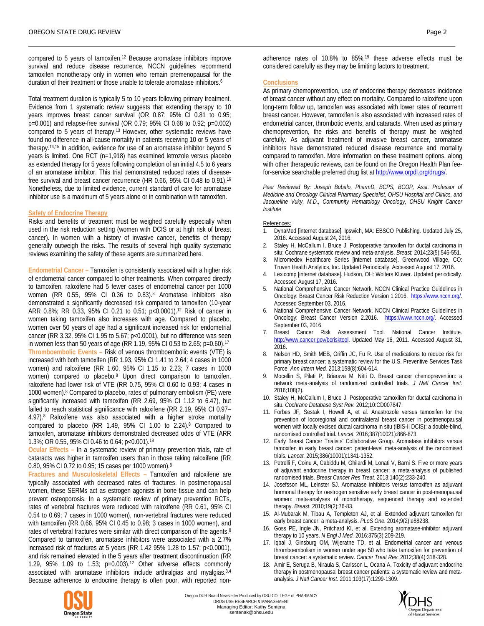compared to 5 years of tamoxifen.12 Because aromatase inhibitors improve survival and reduce disease recurrence, NCCN guidelines recommend tamoxifen monotherapy only in women who remain premenopausal for the duration of their treatment or those unable to tolerate aromatase inhibitors.<sup>6</sup>

Total treatment duration is typically 5 to 10 years following primary treatment. Evidence from 1 systematic review suggests that extending therapy to 10 years improves breast cancer survival (OR 0.87; 95% CI 0.81 to 0.95; p=0.001) and relapse-free survival (OR 0.79; 95% CI 0.68 to 0.92; p=0.002) compared to 5 years of therapy.13 However, other systematic reviews have found no difference in all-cause mortality in patients receiving 10 or 5 years of therapy.14,15 In addition, evidence for use of an aromatase inhibitor beyond 5 years is limited. One RCT (n=1,918) has examined letrozole versus placebo as extended therapy for 5 years following completion of an initial 4.5 to 6 years of an aromatase inhibitor. This trial demonstrated reduced rates of diseasefree survival and breast cancer recurrence (HR 0.66, 95% CI 0.48 to 0.91). 16 Nonetheless, due to limited evidence, current standard of care for aromatase inhibitor use is a maximum of 5 years alone or in combination with tamoxifen.

# **Safety of Endocrine Therapy**

Risks and benefits of treatment must be weighed carefully especially when used in the risk reduction setting (women with DCIS or at high risk of breast cancer). In women with a history of invasive cancer, benefits of therapy generally outweigh the risks. The results of several high quality systematic reviews examining the safety of these agents are summarized here.

**Endometrial Cancer –** Tamoxifen is consistently associated with a higher risk of endometrial cancer compared to other treatments. When compared directly to tamoxifen, raloxifene had 5 fewer cases of endometrial cancer per 1000 women (RR 0.55, 95% CI 0.36 to 0.83).8 Aromatase inhibitors also demonstrated a significantly decreased risk compared to tamoxifen (10-year ARR 0.8%; RR 0.33, 95% CI 0.21 to 0.51; p<0.0001).12 Risk of cancer in women taking tamoxifen also increases with age. Compared to placebo, women over 50 years of age had a significant increased risk for endometrial cancer (RR 3.32, 95% CI 1.95 to 5.67; p<0.0001), but no difference was seen in women less than 50 years of age (RR 1.19, 95% CI 0.53 to 2.65; p=0.60).17 **Thromboembolic Events –** Risk of venous thromboembolic events (VTE) is increased with both tamoxifen (RR 1.93, 95% CI 1.41 to 2.64; 4 cases in 1000 women) and raloxifene (RR 1.60, 95% CI 1.15 to 2.23; 7 cases in 1000 women) compared to placebo.8 Upon direct comparison to tamoxifen, raloxifene had lower risk of VTE (RR 0.75, 95% CI 0.60 to 0.93; 4 cases in 1000 women).8 Compared to placebo, rates of pulmonary embolism (PE) were significantly increased with tamoxifen (RR 2.69, 95% CI 1.12 to 6.47), but failed to reach statistical significance with raloxifene (RR 2.19, 95% CI 0.97– 4.97).8 Raloxifene was also associated with a higher stroke mortality compared to placebo (RR 1.49, 95% CI 1.00 to 2.24).8 Compared to tamoxifen, aromatase inhibitors demonstrated decreased odds of VTE (ARR 1.3%; OR 0.55, 95% CI 0.46 to 0.64; p<0.001).18

**Ocular Effects –** In a systematic review of primary prevention trials, rate of cataracts was higher in tamoxifen users than in those taking raloxifene (RR 0.80, 95% CI 0.72 to 0.95; 15 cases per 1000 women).8

**Fractures and Musculoskeletal Effects –** Tamoxifen and raloxifene are typically associated with decreased rates of fractures. In postmenopausal women, these SERMs act as estrogen agonists in bone tissue and can help prevent osteoporosis. In a systematic review of primary prevention RCTs, rates of vertebral fractures were reduced with raloxifene (RR 0.61, 95% CI 0.54 to 0.69; 7 cases in 1000 women), non-vertebral fractures were reduced with tamoxifen (RR 0.66, 95% CI 0.45 to 0.98; 3 cases in 1000 women), and rates of vertebral fractures were similar with direct comparison of the agents.<sup>8</sup> Compared to tamoxifen, aromatase inhibitors were associated with a 2.7% increased risk of fractures at 5 years (RR 1.42 95% 1.28 to 1.57; p<0.0001), and risk remained elevated in the 5 years after treatment discontinuation (RR 1.29, 95% 1.09 to 1.53;  $p=0.003$ ).<sup>12</sup> Other adverse effects commonly associated with aromatase inhibitors include arthralgias and myalgias.<sup>3,4</sup> Because adherence to endocrine therapy is often poor, with reported non-

adherence rates of 10.8% to 85%,19 these adverse effects must be considered carefully as they may be limiting factors to treatment.

## **Conclusions**

As primary chemoprevention, use of endocrine therapy decreases incidence of breast cancer without any effect on mortality. Compared to raloxifene upon long-term follow up, tamoxifen was associated with lower rates of recurrent breast cancer. However, tamoxifen is also associated with increased rates of endometrial cancer, thrombotic events, and cataracts. When used as primary chemoprevention, the risks and benefits of therapy must be weighed carefully. As adjuvant treatment of invasive breast cancer, aromatase inhibitors have demonstrated reduced disease recurrence and mortality compared to tamoxifen. More information on these treatment options, along with other therapeutic reviews, can be found on the Oregon Health Plan feefor-service searchable preferred drug list at http://www.orpdl.org/drugs/.

*Peer Reviewed By: Joseph Bubalo, PharmD, BCPS, BCOP, Asst. Professor of Medicine and Oncology Clinical Pharmacy Specialist, OHSU Hospital and Clinics, and*  Jacqueline Vuky, M.D., Community Hematology Oncology, OHSU Knight Cancer *Institute* 

## References:

- DynaMed [internet database]. Ipswich, MA: EBSCO Publishing. Updated July 25, 2016. Accessed August 24, 2016.
- 2. Staley H, McCallum I, Bruce J. Postoperative tamoxifen for ductal carcinoma in situ: Cochrane systematic review and meta-analysis. *Breast.* 2014;23(5):546-551.
- 3. Micromedex Healthcare Series [internet database]. Greenwood Village, CO: Truven Health Analytics, Inc. Updated Periodically. Accessed August 17, 2016.
- 4. Lexicomp [internet database]. Hudson, OH: Wolters Kluwer. Updated periodically. Accessed August 17, 2016.
- 5. National Comprehensive Cancer Network. NCCN Clinical Practice Guidelines in Oncology: Breast Cancer Risk Reduction Version 1.2016. https://www.nccn.org/. Accessed September 03, 2016.
- 6. National Comprehensive Cancer Network. NCCN Clinical Practice Guidelines in Oncology: Breast Cancer Version 2.2016. https://www.nccn.org/. Accessed September 03, 2016.
- 7. Breast Cancer Risk Assessment Tool. National Cancer Institute. http://www.cancer.gov/bcrisktool. Updated May 16, 2011. Accessed August 31, 2016.
- 8. Nelson HD, Smith MEB, Griffin JC, Fu R. Use of medications to reduce risk for primary breast cancer: a systematic review for the U.S. Preventive Services Task Force. *Ann Intern Med.* 2013;158(8):604-614.
- Mocellin S, Pilati P, Briarava M, Nitti D. Breast cancer chemoprevention: a network meta-analysis of randomized controlled trials. *J Natl Cancer Inst.*  2016;108(2).
- 10. Staley H, McCallum I, Bruce J. Postoperative tamoxifen for ductal carcinoma in situ. *Cochrane Database Syst Rev.* 2012;10:CD007847.
- 11. Forbes JF, Sestak I, Howell A, et al. Anastrozole versus tamoxifen for the prevention of locoregional and contralateral breast cancer in postmenopausal women with locally excised ductal carcinoma in situ (IBIS-II DCIS): a double-blind, randomised controlled trial. *Lancet.* 2016;387(10021):866-873.
- 12. Early Breast Cancer Trialists' Collaborative Group. Aromatase inhibitors versus tamoxifen in early breast cancer: patient-level meta-analysis of the randomised trials. *Lancet.* 2015;386(10001):1341-1352.
- 13. Petrelli F, Coinu A, Cabiddu M, Ghilardi M, Lonati V, Barni S. Five or more years of adjuvant endocrine therapy in breast cancer: a meta-analysis of published randomised trials. *Breast Cancer Res Treat.* 2013;140(2):233-240.
- 14. Josefsson ML, Leinster SJ. Aromatase inhibitors versus tamoxifen as adjuvant hormonal therapy for oestrogen sensitive early breast cancer in post-menopausal women: meta-analyses of monotherapy, sequenced therapy and extended therapy. *Breast.* 2010;19(2):76-83.
- 15. Al-Mubarak M, Tibau A, Templeton AJ, et al. Extended adjuvant tamoxifen for early breast cancer: a meta-analysis. *PLoS One.* 2014;9(2):e88238.
- 16. Goss PE, Ingle JN, Pritchard KI, et al. Extending aromatase-inhibitor adjuvant therapy to 10 years. *N Engl J Med.* 2016;375(3):209-219.
- 17. Iqbal J, Ginsburg OM, Wijeratne TD, et al. Endometrial cancer and venous thromboembolism in women under age 50 who take tamoxifen for prevention of breast cancer: a systematic review. *Cancer Treat Rev.* 2012;38(4):318-328.
- 18. Amir E, Seruga B, Niraula S, Carlsson L, Ocana A. Toxicity of adjuvant endocrine therapy in postmenopausal breast cancer patients: a systematic review and metaanalysis. *J Natl Cancer Inst.* 2011;103(17):1299-1309.



Oregon DUR Board Newsletter Produced by OSU COLLEGE of PHARMACY DRUG USE RESEARCH & MANAGEMENT Managing Editor: Kathy Sentena sentenak@ohsu.edu